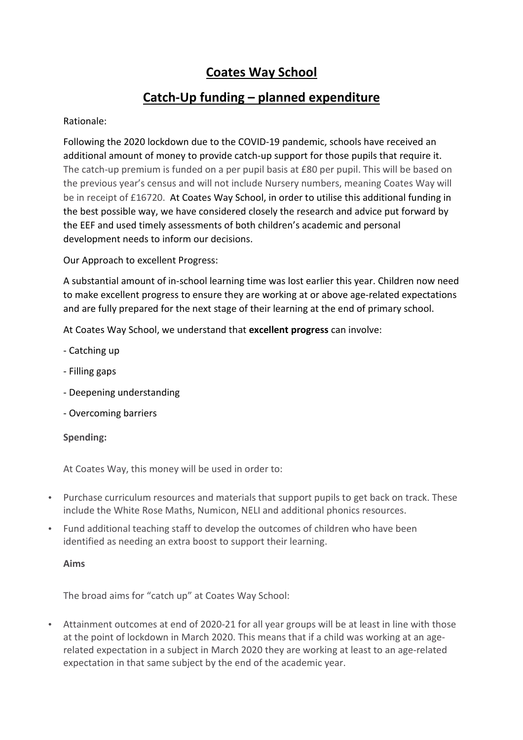# **Coates Way School**

# **Catch-Up funding – planned expenditure**

### Rationale:

Following the 2020 lockdown due to the COVID-19 pandemic, schools have received an additional amount of money to provide catch-up support for those pupils that require it. The catch-up premium is funded on a per pupil basis at £80 per pupil. This will be based on the previous year's census and will not include Nursery numbers, meaning Coates Way will be in receipt of £16720. At Coates Way School, in order to utilise this additional funding in the best possible way, we have considered closely the research and advice put forward by the EEF and used timely assessments of both children's academic and personal development needs to inform our decisions.

Our Approach to excellent Progress:

A substantial amount of in-school learning time was lost earlier this year. Children now need to make excellent progress to ensure they are working at or above age-related expectations and are fully prepared for the next stage of their learning at the end of primary school.

At Coates Way School, we understand that **excellent progress** can involve:

- Catching up
- Filling gaps
- Deepening understanding
- Overcoming barriers

#### **Spending:**

At Coates Way, this money will be used in order to:

- Purchase curriculum resources and materials that support pupils to get back on track. These include the White Rose Maths, Numicon, NELI and additional phonics resources.
- Fund additional teaching staff to develop the outcomes of children who have been identified as needing an extra boost to support their learning.

#### **Aims**

The broad aims for "catch up" at Coates Way School:

• Attainment outcomes at end of 2020-21 for all year groups will be at least in line with those at the point of lockdown in March 2020. This means that if a child was working at an agerelated expectation in a subject in March 2020 they are working at least to an age-related expectation in that same subject by the end of the academic year.